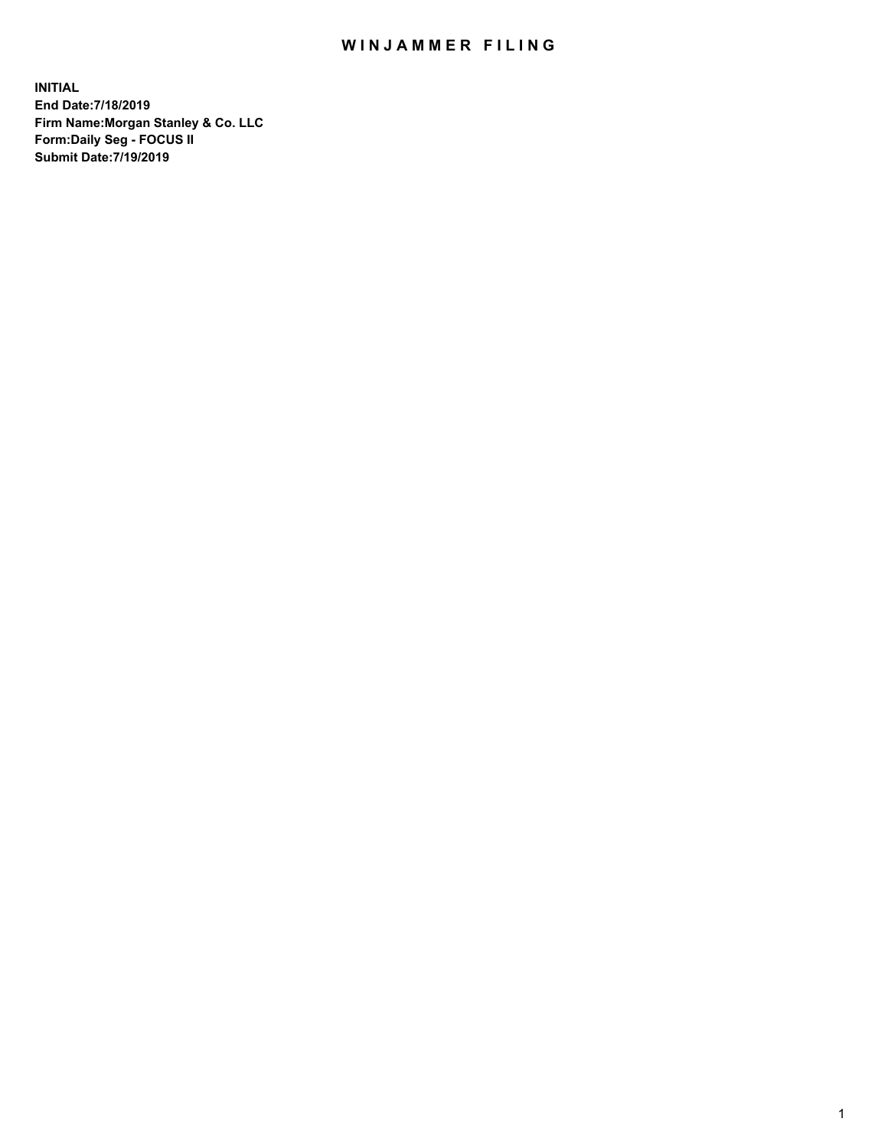## WIN JAMMER FILING

**INITIAL End Date:7/18/2019 Firm Name:Morgan Stanley & Co. LLC Form:Daily Seg - FOCUS II Submit Date:7/19/2019**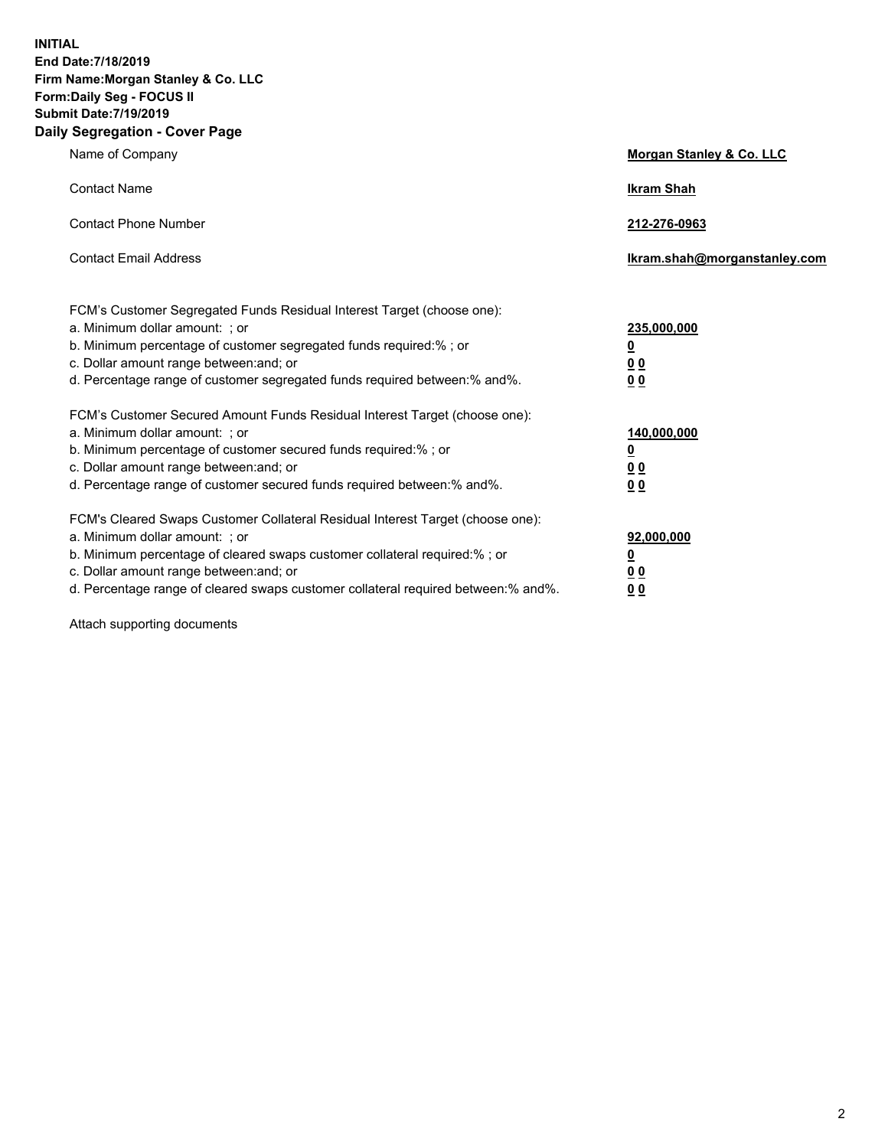**INITIAL End Date:7/18/2019 Firm Name:Morgan Stanley & Co. LLC Form:Daily Seg - FOCUS II Submit Date:7/19/2019 Daily Segregation - Cover Page**

| Name of Company                                                                                                                                                                                                                                                                                                               | Morgan Stanley & Co. LLC                                    |
|-------------------------------------------------------------------------------------------------------------------------------------------------------------------------------------------------------------------------------------------------------------------------------------------------------------------------------|-------------------------------------------------------------|
| <b>Contact Name</b>                                                                                                                                                                                                                                                                                                           | <b>Ikram Shah</b>                                           |
| <b>Contact Phone Number</b>                                                                                                                                                                                                                                                                                                   | 212-276-0963                                                |
| <b>Contact Email Address</b>                                                                                                                                                                                                                                                                                                  | Ikram.shah@morganstanley.com                                |
| FCM's Customer Segregated Funds Residual Interest Target (choose one):<br>a. Minimum dollar amount: ; or<br>b. Minimum percentage of customer segregated funds required:% ; or<br>c. Dollar amount range between: and; or<br>d. Percentage range of customer segregated funds required between:% and%.                        | 235,000,000<br><u>0</u><br><u>00</u><br>0 <sup>0</sup>      |
| FCM's Customer Secured Amount Funds Residual Interest Target (choose one):<br>a. Minimum dollar amount: ; or<br>b. Minimum percentage of customer secured funds required:%; or<br>c. Dollar amount range between: and; or<br>d. Percentage range of customer secured funds required between:% and%.                           | 140,000,000<br><u>0</u><br>0 <sub>0</sub><br>0 <sub>0</sub> |
| FCM's Cleared Swaps Customer Collateral Residual Interest Target (choose one):<br>a. Minimum dollar amount: ; or<br>b. Minimum percentage of cleared swaps customer collateral required:%; or<br>c. Dollar amount range between: and; or<br>d. Percentage range of cleared swaps customer collateral required between:% and%. | 92,000,000<br><u>0</u><br>0 Q<br>00                         |

Attach supporting documents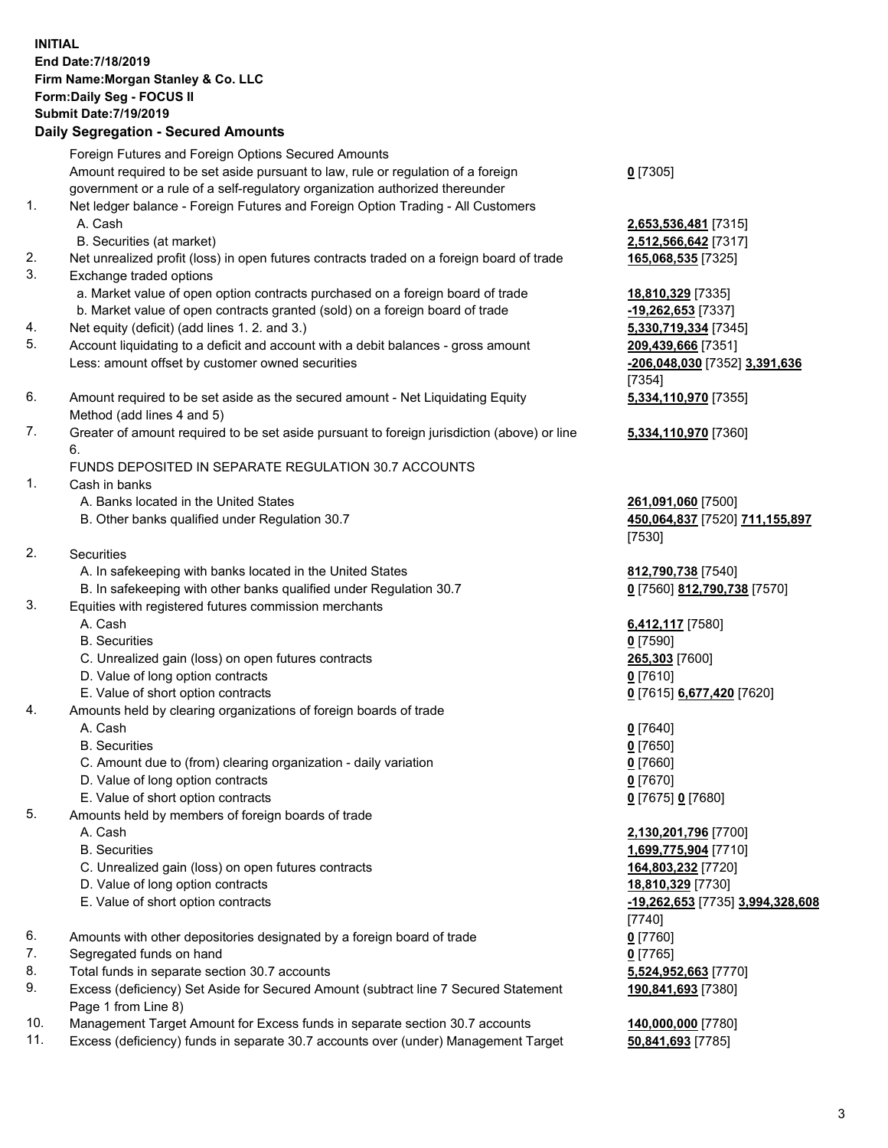## **INITIAL End Date:7/18/2019 Firm Name:Morgan Stanley & Co. LLC Form:Daily Seg - FOCUS II Submit Date:7/19/2019 Daily Segregation - Secured Amounts** Foreign Futures and Foreign Options Secured Amounts Amount required to be set aside pursuant to law, rule or regulation of a foreign government or a rule of a self-regulatory organization authorized thereunder 1. Net ledger balance - Foreign Futures and Foreign Option Trading - All Customers A. Cash **2,653,536,481** [7315] B. Securities (at market) **2,512,566,642** [7317] 2. Net unrealized profit (loss) in open futures contracts traded on a foreign board of trade **165,068,535** [7325] 3. Exchange traded options

- a. Market value of open option contracts purchased on a foreign board of trade **18,810,329** [7335]
- b. Market value of open contracts granted (sold) on a foreign board of trade **-19,262,653** [7337]
- 4. Net equity (deficit) (add lines 1. 2. and 3.) **5,330,719,334** [7345]
- 5. Account liquidating to a deficit and account with a debit balances gross amount **209,439,666** [7351] Less: amount offset by customer owned securities **-206,048,030** [7352] **3,391,636**
- 6. Amount required to be set aside as the secured amount Net Liquidating Equity Method (add lines 4 and 5)
- 7. Greater of amount required to be set aside pursuant to foreign jurisdiction (above) or line 6.

## FUNDS DEPOSITED IN SEPARATE REGULATION 30.7 ACCOUNTS

- 1. Cash in banks
	- A. Banks located in the United States **261,091,060** [7500]
	- B. Other banks qualified under Regulation 30.7 **450,064,837** [7520] **711,155,897**
- 2. Securities
	- A. In safekeeping with banks located in the United States **812,790,738** [7540]
	- B. In safekeeping with other banks qualified under Regulation 30.7 **0** [7560] **812,790,738** [7570]
- 3. Equities with registered futures commission merchants
	-
	- B. Securities **0** [7590]
	- C. Unrealized gain (loss) on open futures contracts **265,303** [7600]
	- D. Value of long option contracts **0** [7610]
- E. Value of short option contracts **0** [7615] **6,677,420** [7620]
- 4. Amounts held by clearing organizations of foreign boards of trade
	- A. Cash **0** [7640]
	- B. Securities **0** [7650]
	- C. Amount due to (from) clearing organization daily variation **0** [7660]
	- D. Value of long option contracts **0** [7670]
	- E. Value of short option contracts **0** [7675] **0** [7680]
- 5. Amounts held by members of foreign boards of trade
	-
	-
	- C. Unrealized gain (loss) on open futures contracts **164,803,232** [7720]
	- D. Value of long option contracts **18,810,329** [7730]
	- E. Value of short option contracts **-19,262,653** [7735] **3,994,328,608**
- 6. Amounts with other depositories designated by a foreign board of trade **0** [7760]
- 7. Segregated funds on hand **0** [7765]
- 8. Total funds in separate section 30.7 accounts **5,524,952,663** [7770]
- 9. Excess (deficiency) Set Aside for Secured Amount (subtract line 7 Secured Statement Page 1 from Line 8)
- 10. Management Target Amount for Excess funds in separate section 30.7 accounts **140,000,000** [7780]
- 11. Excess (deficiency) funds in separate 30.7 accounts over (under) Management Target **50,841,693** [7785]

**0** [7305]

[7354] **5,334,110,970** [7355]

**5,334,110,970** [7360]

[7530]

A. Cash **6,412,117** [7580]

 A. Cash **2,130,201,796** [7700] B. Securities **1,699,775,904** [7710] [7740] **190,841,693** [7380]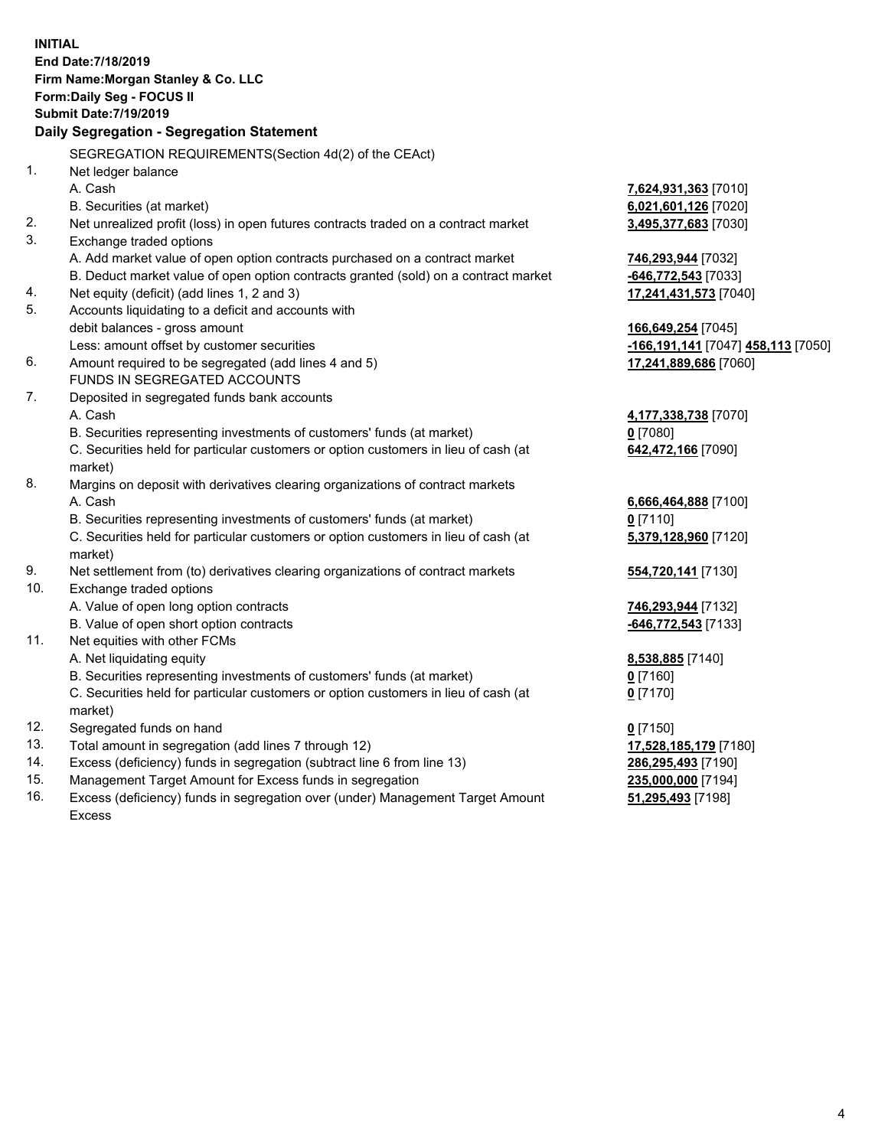**INITIAL End Date:7/18/2019 Firm Name:Morgan Stanley & Co. LLC Form:Daily Seg - FOCUS II Submit Date:7/19/2019 Daily Segregation - Segregation Statement** SEGREGATION REQUIREMENTS(Section 4d(2) of the CEAct) 1. Net ledger balance A. Cash **7,624,931,363** [7010] B. Securities (at market) **6,021,601,126** [7020] 2. Net unrealized profit (loss) in open futures contracts traded on a contract market **3,495,377,683** [7030] 3. Exchange traded options A. Add market value of open option contracts purchased on a contract market **746,293,944** [7032] B. Deduct market value of open option contracts granted (sold) on a contract market **-646,772,543** [7033] 4. Net equity (deficit) (add lines 1, 2 and 3) **17,241,431,573** [7040] 5. Accounts liquidating to a deficit and accounts with debit balances - gross amount **166,649,254** [7045] Less: amount offset by customer securities **-166,191,141** [7047] **458,113** [7050] 6. Amount required to be segregated (add lines 4 and 5) **17,241,889,686** [7060] FUNDS IN SEGREGATED ACCOUNTS 7. Deposited in segregated funds bank accounts A. Cash **4,177,338,738** [7070] B. Securities representing investments of customers' funds (at market) **0** [7080] C. Securities held for particular customers or option customers in lieu of cash (at market) **642,472,166** [7090] 8. Margins on deposit with derivatives clearing organizations of contract markets A. Cash **6,666,464,888** [7100] B. Securities representing investments of customers' funds (at market) **0** [7110] C. Securities held for particular customers or option customers in lieu of cash (at market) **5,379,128,960** [7120] 9. Net settlement from (to) derivatives clearing organizations of contract markets **554,720,141** [7130] 10. Exchange traded options A. Value of open long option contracts **746,293,944** [7132] B. Value of open short option contracts **-646,772,543** [7133] 11. Net equities with other FCMs A. Net liquidating equity **8,538,885** [7140] B. Securities representing investments of customers' funds (at market) **0** [7160] C. Securities held for particular customers or option customers in lieu of cash (at market) **0** [7170] 12. Segregated funds on hand **0** [7150] 13. Total amount in segregation (add lines 7 through 12) **17,528,185,179** [7180] 14. Excess (deficiency) funds in segregation (subtract line 6 from line 13) **286,295,493** [7190] 15. Management Target Amount for Excess funds in segregation **235,000,000** [7194] **51,295,493** [7198]

16. Excess (deficiency) funds in segregation over (under) Management Target Amount Excess